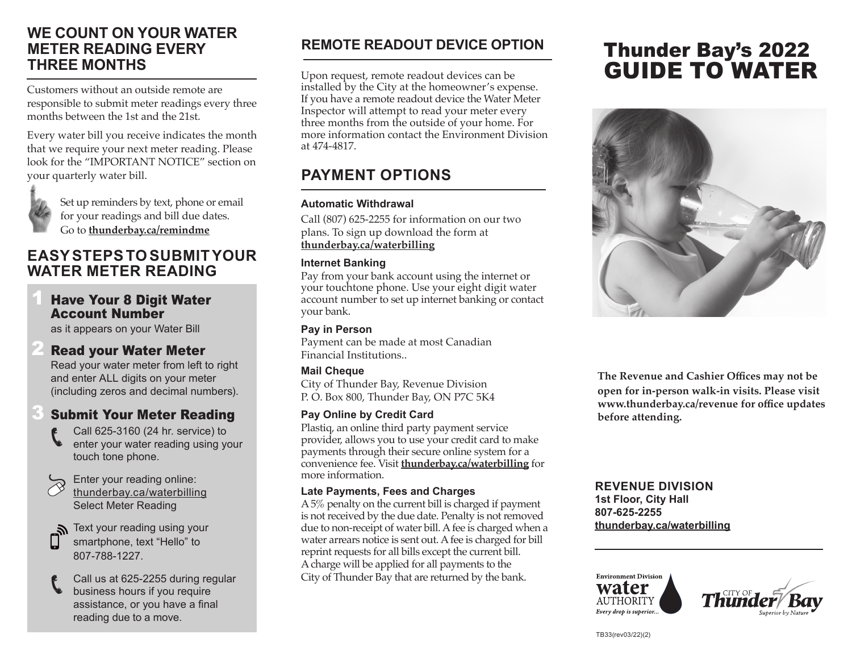# **WE COUNT ON YOUR WATER METER READING EVERY THREE MONTHS**

Customers without an outside remote are responsible to submit meter readings every three months between the 1st and the 21st.

Every water bill you receive indicates the month that we require your next meter reading. Please look for the "IMPORTANT NOTICE" section on your quarterly water bill.

for your readings and bill due dates. Go to **thunderbay.ca/remindme**

Set up reminders by text, phone or email

# **EASY STEPS TO SUBMIT YOUR WATER METER READING**

### **Have Your 8 Digit Water** Account Number

as it appears on your Water Bill

## **Read your Water Meter**

 Read your water meter from left to right and enter ALL digits on your meter (including zeros and decimal numbers).

# **Submit Your Meter Reading**

- Call 625-3160 (24 hr. service) to enter your water reading using your touch tone phone.
- Enter your reading online: thunderbay.ca/waterbilling Select Meter Reading

 Text your reading using your smartphone, text "Hello" to 807-788-1227.

 Call us at 625-2255 during regular business hours if you require assistance, or you have a final reading due to a move.

# **REMOTE READOUT DEVICE OPTION**

Upon request, remote readout devices can be installed by the City at the homeowner's expense. If you have a remote readout device the Water Meter Inspector will attempt to read your meter every three months from the outside of your home. For more information contact the Environment Division at 474-4817.

# **PAYMENT OPTIONS**

#### **Automatic Withdrawal**

Call (807) 625-2255 for information on our two plans. To sign up download the form at **thunderbay.ca/waterbilling**

#### **Internet Banking**

Pay from your bank account using the internet or your touchtone phone. Use your eight digit water account number to set up internet banking or contact your bank.

#### **Pay in Person**

Payment can be made at most Canadian Financial Institutions..

#### **Mail Cheque**

City of Thunder Bay, Revenue Division P. O. Box 800, Thunder Bay, ON P7C 5K4

#### **Pay Online by Credit Card**

Plastiq, an online third party payment service provider, allows you to use your credit card to make payments through their secure online system for a convenience fee. Visit **thunderbay.ca/waterbilling** for more information.

#### **Late Payments, Fees and Charges**

A 5% penalty on the current bill is charged if payment is not received by the due date. Penalty is not removed due to non-receipt of water bill. A fee is charged when a water arrears notice is sent out. A fee is charged for bill reprint requests for all bills except the current bill. A charge will be applied for all payments to the City of Thunder Bay that are returned by the bank.

# Thunder Bay's 2022 GUIDE TO WATER



**The Revenue and Cashier Offices may not be open for in-person walk-in visits. Please visit www.thunderbay.ca/revenue for office updates before attending.**

#### **REVENUE DIVISION 1st Floor, City Hall 807-625-2255 thunderbay.ca/waterbilling**



TB33(rev03/22)(2)